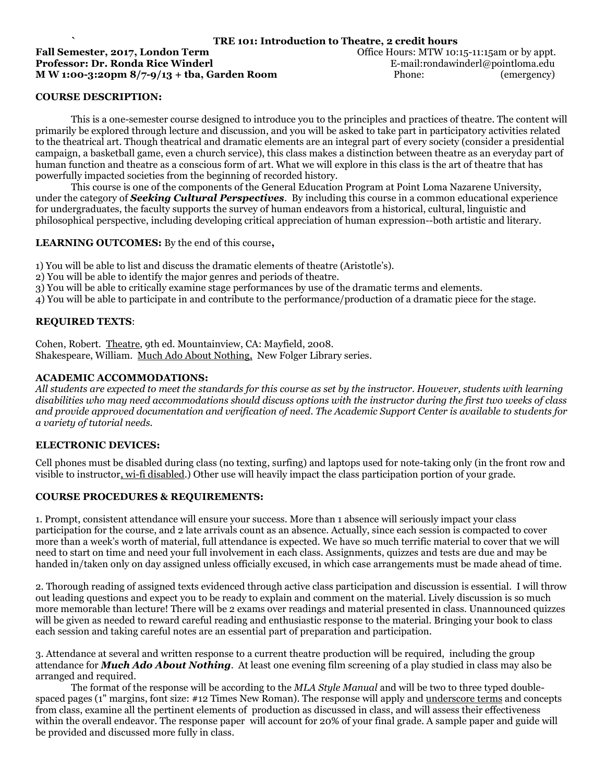# **Fall Semester, 2017, London Term**   $\qquad \qquad$  Office Hours: MTW 10:15-11:15am or by appt. **Professor: Dr. Ronda Rice Winderl E-mail:rondawinderl@pointloma.edu E-mail:rondawinderl@pointloma.edu M W 1:00-3:20pm 8/7-9/13 + tba, Garden Room** Phone: (emergency)

# **` TRE 101: Introduction to Theatre, 2 credit hours**

### **COURSE DESCRIPTION:**

This is a one-semester course designed to introduce you to the principles and practices of theatre. The content will primarily be explored through lecture and discussion, and you will be asked to take part in participatory activities related to the theatrical art. Though theatrical and dramatic elements are an integral part of every society (consider a presidential campaign, a basketball game, even a church service), this class makes a distinction between theatre as an everyday part of human function and theatre as a conscious form of art. What we will explore in this class is the art of theatre that has powerfully impacted societies from the beginning of recorded history.

This course is one of the components of the General Education Program at Point Loma Nazarene University, under the category of *Seeking Cultural Perspectives*. By including this course in a common educational experience for undergraduates, the faculty supports the survey of human endeavors from a historical, cultural, linguistic and philosophical perspective, including developing critical appreciation of human expression--both artistic and literary.

#### **LEARNING OUTCOMES:** By the end of this course**,**

1) You will be able to list and discuss the dramatic elements of theatre (Aristotle's).

- 2) You will be able to identify the major genres and periods of theatre.
- 3) You will be able to critically examine stage performances by use of the dramatic terms and elements.

4) You will be able to participate in and contribute to the performance/production of a dramatic piece for the stage.

#### **REQUIRED TEXTS**:

Cohen, Robert. Theatre, 9th ed. Mountainview, CA: Mayfield, 2008. Shakespeare, William. Much Ado About Nothing, New Folger Library series.

#### **ACADEMIC ACCOMMODATIONS:**

*All students are expected to meet the standards for this course as set by the instructor. However, students with learning disabilities who may need accommodations should discuss options with the instructor during the first two weeks of class and provide approved documentation and verification of need. The Academic Support Center is available to students for a variety of tutorial needs.*

#### **ELECTRONIC DEVICES:**

Cell phones must be disabled during class (no texting, surfing) and laptops used for note-taking only (in the front row and visible to instructor, wi-fi disabled.) Other use will heavily impact the class participation portion of your grade.

#### **COURSE PROCEDURES & REQUIREMENTS:**

1. Prompt, consistent attendance will ensure your success. More than 1 absence will seriously impact your class participation for the course, and 2 late arrivals count as an absence. Actually, since each session is compacted to cover more than a week's worth of material, full attendance is expected. We have so much terrific material to cover that we will need to start on time and need your full involvement in each class. Assignments, quizzes and tests are due and may be handed in/taken only on day assigned unless officially excused, in which case arrangements must be made ahead of time.

2. Thorough reading of assigned texts evidenced through active class participation and discussion is essential. I will throw out leading questions and expect you to be ready to explain and comment on the material. Lively discussion is so much more memorable than lecture! There will be 2 exams over readings and material presented in class. Unannounced quizzes will be given as needed to reward careful reading and enthusiastic response to the material. Bringing your book to class each session and taking careful notes are an essential part of preparation and participation.

3. Attendance at several and written response to a current theatre production will be required, including the group attendance for *Much Ado About Nothing*. At least one evening film screening of a play studied in class may also be arranged and required.

The format of the response will be according to the *MLA Style Manual* and will be two to three typed doublespaced pages (1" margins, font size: #12 Times New Roman). The response will apply and underscore terms and concepts from class, examine all the pertinent elements of production as discussed in class, and will assess their effectiveness within the overall endeavor. The response paper will account for 20% of your final grade. A sample paper and guide will be provided and discussed more fully in class.